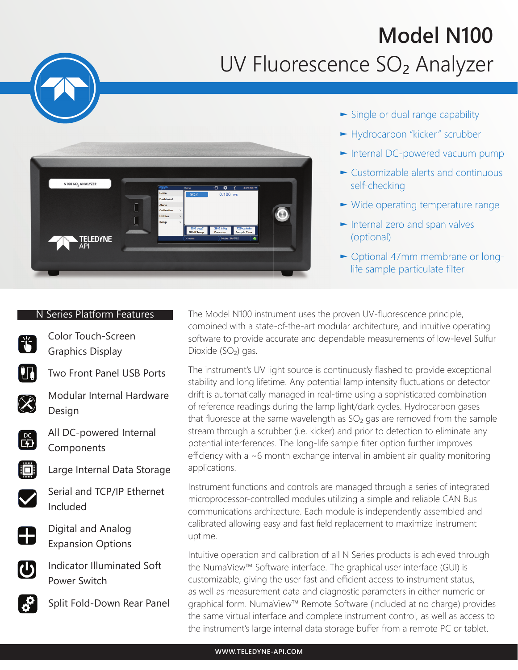## **Model N100** UV Fluorescence SO<sub>2</sub> Analyzer



- ► Single or dual range capability
- ► Hydrocarbon "kicker" scrubber
- ► Internal DC-powered vacuum pump
- ► Customizable alerts and continuous self-checking
- ► Wide operating temperature range
- ► Internal zero and span valves (optional)
- ► Optional 47mm membrane or long life sample particulate filter

## N Series Platform Features

Color Touch-Screen Graphics Display



**The Two Front Panel USB Ports** 



Modular Internal Hardware Design



**PC** All DC-powered Internal Components



Large Internal Data Storage



 Serial and TCP/IP Ethernet Included



Digital and Analog<br>Expansion Options Expansion Options

Indicator Illuminated Soft Power Switch



Split Fold-Down Rear Panel

The Model N100 instrument uses the proven UV-fluorescence principle, combined with a state-of-the-art modular architecture, and intuitive operating software to provide accurate and dependable measurements of low-level Sulfur Dioxide (SO<sub>2</sub>) gas.

The instrument's UV light source is continuously flashed to provide exceptional stability and long lifetime. Any potential lamp intensity fluctuations or detector drift is automatically managed in real-time using a sophisticated combination of reference readings during the lamp light/dark cycles. Hydrocarbon gases that fluoresce at the same wavelength as  $SO<sub>2</sub>$  gas are removed from the sample stream through a scrubber (i.e. kicker) and prior to detection to eliminate any potential interferences. The long-life sample filter option further improves efficiency with a  $\sim$ 6 month exchange interval in ambient air quality monitoring applications.

Instrument functions and controls are managed through a series of integrated microprocessor-controlled modules utilizing a simple and reliable CAN Bus communications architecture. Each module is independently assembled and calibrated allowing easy and fast field replacement to maximize instrument uptime.

Intuitive operation and calibration of all N Series products is achieved through the NumaView™ Software interface. The graphical user interface (GUI) is customizable, giving the user fast and efficient access to instrument status, as well as measurement data and diagnostic parameters in either numeric or graphical form. NumaView™ Remote Software (included at no charge) provides the same virtual interface and complete instrument control, as well as access to the instrument's large internal data storage buffer from a remote PC or tablet.